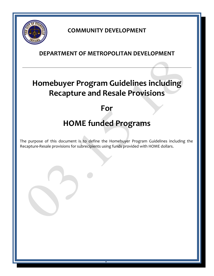

## **COMMUNITY DEVELOPMENT**

### **DEPARTMENT OF METROPOLITAN DEVELOPMENT**

# **Homebuyer Program Guidelines including Recapture and Resale Provisions**

## **For**

# **HOME funded Programs**

The purpose of this document is to define the Homebuyer Program Guidelines including the Recapture-Resale provisions for subrecipients using funds provided with HOME dollars.

1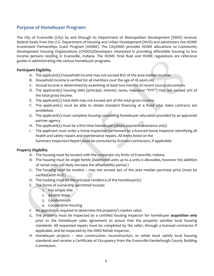#### **Purpose of Homebuyer Program:**

The City of Evansville (City) by and through its Department of Metropolitan Development (DMD) receives federal funds from the U.S. Department of Housing and Urban Development (HUD) and administers the HOME Investment Partnerships Grant Program (HOME). The City/DMD provides HOME allocations to Community Development Housing Organizations (CHDOs)/Developers interested in providing affordable housing to low income persons residing in Evansville, Indiana. The HOME Final Rule and HOME regulations are reference guides in administrating the various homebuyer programs.

#### **Participant Eligibility**

- A. The applicant(s) household income may not exceed 80% of the area median income.
- B. Household income is verified for all members over the age of 18 years-old.
- C. Annual income is determined by examining at least two months of recent source documents.
- D. The applicant(s) housing debt (principal, interest, taxes, insurance "PITI") may not exceed 30% of the total gross income.
- E. The applicant(s) total debt may not exceed 40% of the total gross income.
- F. The applicant(s) must be able to obtain standard financing at a fixed rate. Sales contracts are prohibited.
- G. The applicant(s) must complete housing counseling homebuyer education provided by an approved partner agency.
- H. The applicant(s) must be a first time homebuyer (down payment assistance only).
- I. The applicant must order a home inspection performed by a licensed home inspector identifying all health and safety repairs and maintenance repairs. All items listed on the Summary Inspection Report must be corrected by licensed contractors, if applicable.

#### **Property Eligibility**

- A. The housing must be located with the corporate city limits of Evansville, Indiana.
- B. The housing must be single family (Additional units up to 4 units is allowable, however the addition of rental units will likely increase the affordability period.)
- C. The housing must be modest may not exceed 95% of the area median purchase price (must be verified with HUD)
- D. The housing must be the principal residence of the homebuyer(s)
- E. The forms of ownership permitted include:
	- 1. Fee simple title
	- 2. 99-year lease
	- 3. Condominium
	- 4. Cooperative Housing
- F. An appraisal is required to determine the property's market value.
- G. The property must be inspected by a certified housing inspector for homebuyer **acquisition only** prior to the homebuyer sales agreement to assure that the property satisfies local housing standards. All requested repairs must be completed by the seller, through a licensed contractor if applicable, and be inspected by the DMD Rehab Inspector.
- H. Homebuyer projects new construction, reconstruction, or rehab must satisfy local housing standards and receive a Certificate of Occupancy from the Evansville-Vanderburgh County Building Commission.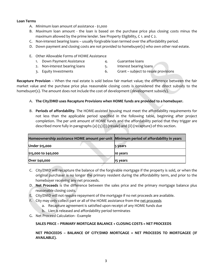#### **Loan Terms**

- A. Minimum loan amount of assistance \$1,000
- B. Maximum loan amount the loan is based on the purchase price plus closing costs minus the maximum allowed by the prime lender. See Property Eligibility, C 1. and C 2.
- C. Non-interest bearing loans usually forgivable loan termed over the affordability period.
- D. Down payment and closing costs are not provided to homebuyer(s) who own other real estate.
- E. Other Allowable Forms of HOME Assistance
	- 1. Down Payment Assistance **1. Accord 4.** Guarantee loans
	- 2. Non-interest bearing loans 5. Interest bearing loans
	- 3. Equity Investments 6. Grant subject to resale provisions

**Recapture Provision** – When the real estate is sold below fair market value; the difference between the fair market value and the purchase price plus reasonable closing costs is considered the direct subsidy to the homebuyer(s). The amount does not include the cost of development (development subsidy).

#### A. **The City/DMD uses Recapture Provisions when HOME funds are provided to a homebuyer.**

B. **Periods of affordability***.* The HOME-assisted housing must meet the affordability requirements for not less than the applicable period specified in the following table, beginning after project completion. The per unit amount of HOME funds and the affordability period that they trigger are described more fully in paragraphs (a) (5) (i) (resale) and (ii) (recapture) of this section.

| Homeownership assistance HOME amount per-unit   Minimum period of affordability in years |          |  |
|------------------------------------------------------------------------------------------|----------|--|
| Under \$15,000                                                                           | 5 years  |  |
| \$15,000 to \$40,000                                                                     | 10 years |  |
| Over \$40,000                                                                            | 15 years |  |

- C. City/DMD will recapture the balance of the forgivable mortgage if the property is sold, or when the original purchaser is no longer the primary resident during the affordability term, and prior to the homebuyer receiving any net proceeds.
- D. **Net Proceeds** is the difference between the sales price and the primary mortgage balance plus reasonable closing costs.
- E. City/DMD will not require repayment of the mortgage if no net proceeds are available.
- F. City may only collect part or all of the HOME assistance from the net proceeds
	- a. Recapture agreement is satisfied upon receipt of any HOME funds due
		- b. Lien is released and affordability period terminates
- G. Net Proceed Calculation Example

#### **SALES PRICE – PRIMARY MORTGAGE BALANCE + CLOSING COSTS = NET PROCEEDS**

**NET PROCEEDS – BALANCE OF CITY/DMD MORTGAGE = NET PROCEEDS TO MORTGAGEE (IF AVAILABLE).**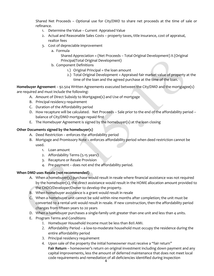Shared Net Proceeds – Optional use for City/DMD to share net proceeds at the time of sale or refinance.

- 1. Determine the Value Current Appraised Value
- 2. Actual and Reasonable Sales Costs property taxes, title insurance, cost of appraisal, realtor fees
- 3. Cost of depreciable improvement
	- a. Formula

Shared Appreciation = (Net Proceeds – Total Original Development) X (Original Principal/Total Original Development)

- b. Component Definitions
	- 1.) Original Principal = the loan amount
	- 2.) Total Original Development = Appraised fair market value of property at the time of the loan and the agreed purchase at the time of the loan.

**Homebuyer Agreement** – 92.504 Written Agreements executed between the City/DMD and the mortgagee(s) are required and must include the following:

- A. Amount of Direct Subsidy to Mortgagee(s) and Use of mortgage
- B. Principal residency requirement
- C. Duration of the Affordability period
- D. How recapture will be calculated. Net Proceeds Sale prior to the end of the affordability period balance of City/DMD mortgage repaid first
- E. The Homebuyer Agreement is signed by the homebuyer(s) at the loan closing

#### **Other Documents signed by the homebuyer(s)**

- A. Deed Restriction enforces the affordability period
- B. Mortgage and Promissory Note enforces affordability period when deed restriction cannot be used.
	- 1. Loan amount
	- 2. Affordability Terms (5-15 years)
	- 3. Recapture or Resale Provision
	- 4. Pre-payment does not end the affordability period.

#### **When DMD uses Resale (not recommended)**

- A. When a homebuyer(s) purchase would result in resale where financial assistance was not required by the homebuyer(s), the direct assistance would result in the HOME allocation amount provided to the CHDO/Developer/Owner to develop the property.
- B. When homebuyer assistance is a grant would result in resale
- C. When a homebuyer unit cannot be sold within nine months after completion; the unit must be converted to a rental unit would result in resale. If new construction, then the affordability period changes from fifteen years to 20 years
- D. When a homebuyer purchases a single-family unit greater than one unit and less than 4 units.
- E. Program Terms and Conditions
	- 1. Homebuyer Household Income must be less than 80% AMI.
	- 2. Affordability Period a low-to-moderate household must occupy the residence during the entire affordability period
	- 3. Principal residency requirement
	- 4. Upon sale of the property the initial homeowner must receive a "fair return" **Fair Return** – homeowner's return on original investment including down payment and any capital improvements, less the amount of deferred maintenance that does not meet local code requirements and remediation of all deficiencies identified during inspection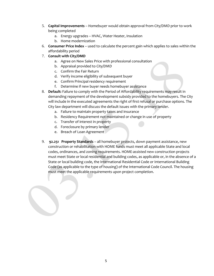- 5. **Capital Improvements** Homebuyer would obtain approval from City/DMD prior to work being completed
	- a. Energy upgrades HVAC, Water Heater, Insulation
	- b. Home modernization
- 6. **Consumer Price Index** used to calculate the percent gain which applies to sales within the affordability period
- 7. **Consult with City/DMD**
	- a. Agree on New Sales Price with professional consultation
	- b. Appraisal provided to City/DMD
	- c. Confirm the Fair Return
	- d. Verify income eligibility of subsequent buyer
	- e. Confirm Principal residency requirement
	- f. Determine if new buyer needs homebuyer assistance
- 8. **Default:** Failure to comply with the Period of Affordability requirements may result in demanding repayment of the development subsidy provided to the homebuyers. The City will include in the executed agreements the right of first refusal or purchase options. The City law department will discuss the default issues with the primary lender.
	- a. Failure to maintain property taxes and insurance
	- b. Residency Requirement not maintained or change in use of property
	- c. Transfer of interest in property
	- d. Foreclosure by primary lender
	- e. Breach of Loan Agreement
- 9. **92.251 Property Standards** all homebuyer projects, down payment assistance, new construction or rehabilitation with HOME funds must meet all applicable State and local codes, ordinances, and zoning requirements. HOME-assisted new construction projects must meet State or local residential and building codes, as applicable or, in the absence of a State or local building code, the International Residential Code or International Building Code (as applicable to the type of housing) of the International Code Council. The housing must meet the applicable requirements upon project completion.